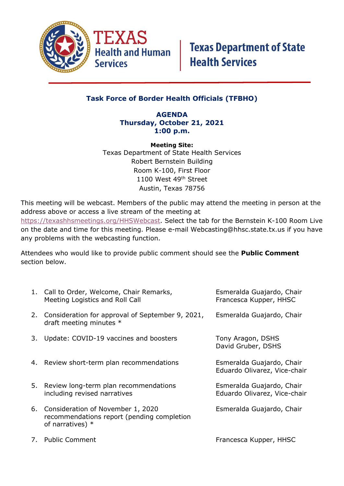

### **Task Force of Border Health Officials (TFBHO)**

### **AGENDA Thursday, October 21, 2021 1:00 p.m.**

**Meeting Site:** Texas Department of State Health Services Robert Bernstein Building Room K-100, First Floor 1100 West 49<sup>th</sup> Street Austin, Texas 78756

This meeting will be webcast. Members of the public may attend the meeting in person at the address above or access a live stream of the meeting at [https://texashhsmeetings.org/HHSWebcast.](https://texashhsmeetings.org/HHSWebcast) Select the tab for the Bernstein K-100 Room Live on the date and time for this meeting. Please e-mail [Webcasting@hhsc.state.tx.us](mailto:Webcasting@hhsc.state.tx.us) if you have any problems with the webcasting function.

Attendees who would like to provide public comment should see the **Public Comment** section below.

|    | 1. Call to Order, Welcome, Chair Remarks,<br>Meeting Logistics and Roll Call                          | Esmeralda Guajardo, Chair<br>Francesca Kupper, HHSC       |
|----|-------------------------------------------------------------------------------------------------------|-----------------------------------------------------------|
|    | 2. Consideration for approval of September 9, 2021,<br>draft meeting minutes *                        | Esmeralda Guajardo, Chair                                 |
| 3. | Update: COVID-19 vaccines and boosters                                                                | Tony Aragon, DSHS<br>David Gruber, DSHS                   |
|    | 4. Review short-term plan recommendations                                                             | Esmeralda Guajardo, Chair<br>Eduardo Olivarez, Vice-chair |
| 5. | Review long-term plan recommendations<br>including revised narratives                                 | Esmeralda Guajardo, Chair<br>Eduardo Olivarez, Vice-chair |
| 6. | Consideration of November 1, 2020<br>recommendations report (pending completion<br>of narratives) $*$ | Esmeralda Guajardo, Chair                                 |
|    | 7. Public Comment                                                                                     | Francesca Kupper, HHSC                                    |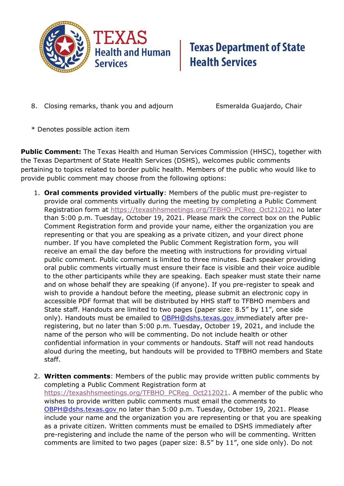

## **Texas Department of State Health Services**

8. Closing remarks, thank you and adjourn Esmeralda Guajardo, Chair

\* Denotes possible action item

**Public Comment:** The Texas Health and Human Services Commission (HHSC), together with the Texas Department of State Health Services (DSHS), welcomes public comments pertaining to topics related to border public health. Members of the public who would like to provide public comment may choose from the following options:

- 1. **Oral comments provided virtually**: Members of the public must pre-register to provide oral comments virtually during the meeting by completing a Public Comment Registration form at [https://texashhsmeetings.org/TFBHO\\_PCReg\\_Oct212021](https://texashhsmeetings.org/TFBHO_PCReg_Oct212021) no later than 5:00 p.m. Tuesday, October 19, 2021. Please mark the correct box on the Public Comment Registration form and provide your name, either the organization you are representing or that you are speaking as a private citizen, and your direct phone number. If you have completed the Public Comment Registration form, you will receive an email the day before the meeting with instructions for providing virtual public comment. Public comment is limited to three minutes. Each speaker providing oral public comments virtually must ensure their face is visible and their voice audible to the other participants while they are speaking. Each speaker must state their name and on whose behalf they are speaking (if anyone). If you pre-register to speak and wish to provide a handout before the meeting, please submit an electronic copy in accessible PDF format that will be distributed by HHS staff to TFBHO members and State staff. Handouts are limited to two pages (paper size: 8.5" by 11", one side only). Handouts must be emailed to **OBPH@dshs.texas.gov** immediately after preregistering, but no later than 5:00 p.m. Tuesday, October 19, 2021, and include the name of the person who will be commenting. Do not include health or other confidential information in your comments or handouts. Staff will not read handouts aloud during the meeting, but handouts will be provided to TFBHO members and State staff.
- 2. **Written comments**: Members of the public may provide written public comments by completing a Public Comment Registration form at [https://texashhsmeetings.org/TFBHO\\_PCReg\\_Oct212021.](https://texashhsmeetings.org/TFBHO_PCReg_Oct212021) A member of the public who wishes to provide written public comments must email the comments to [OBPH@dshs.texas.gov](mailto:OBPH@dshs.texas.gov) no later than 5:00 p.m. Tuesday, October 19, 2021. Please include your name and the organization you are representing or that you are speaking as a private citizen. Written comments must be emailed to DSHS immediately after pre-registering and include the name of the person who will be commenting. Written comments are limited to two pages (paper size: 8.5" by 11", one side only). Do not